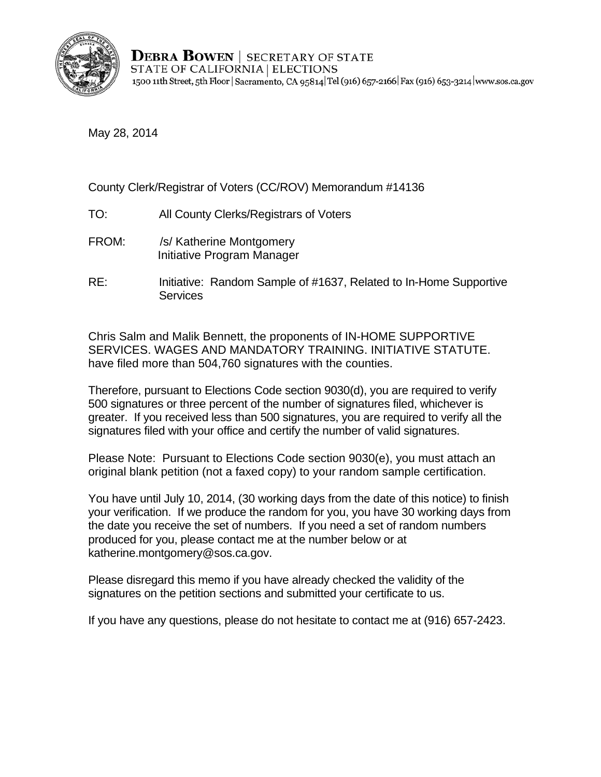

**DEBRA BOWEN** SECRETARY OF STATE STATE OF CALIFORNIA | ELECTIONS 1500 11th Street, 5th Floor | Sacramento, CA 95814 Tel (916) 657-2166 | Fax (916) 653-3214 | www.sos.ca.gov

May 28, 2014

County Clerk/Registrar of Voters (CC/ROV) Memorandum #14136

- TO: All County Clerks/Registrars of Voters<br>FROM: /s/ Katherine Montgomery
- Initiative Program Manager
- RE: Initiative: Random Sample of #1637, Related to In-Home Supportive **Services**

Chris Salm and Malik Bennett, the proponents of IN-HOME SUPPORTIVE SERVICES. WAGES AND MANDATORY TRAINING. INITIATIVE STATUTE. have filed more than 504,760 signatures with the counties.

Therefore, pursuant to Elections Code section 9030(d), you are required to verify 500 signatures or three percent of the number of signatures filed, whichever is greater. If you received less than 500 signatures, you are required to verify all the signatures filed with your office and certify the number of valid signatures.

Please Note: Pursuant to Elections Code section 9030(e), you must attach an original blank petition (not a faxed copy) to your random sample certification.

You have until July 10, 2014, (30 working days from the date of this notice) to finish your verification. If we produce the random for you, you have 30 working days from the date you receive the set of numbers. If you need a set of random numbers produced for you, please contact me at the number below or at katherine.montgomery@sos.ca.gov.

Please disregard this memo if you have already checked the validity of the signatures on the petition sections and submitted your certificate to us.

If you have any questions, please do not hesitate to contact me at (916) 657-2423.